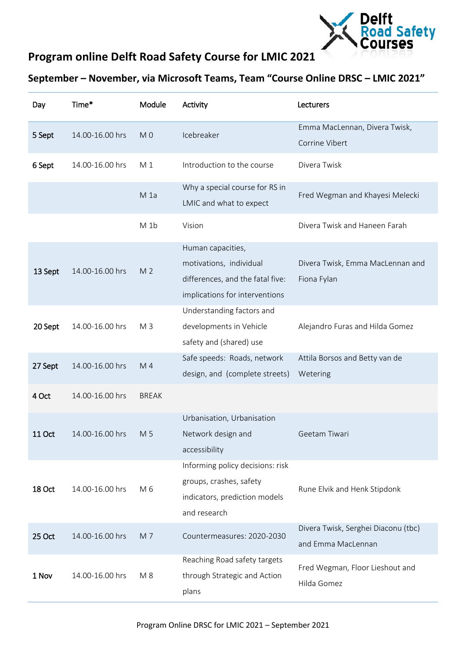

# **Program online Delft Road Safety Course for LMIC 2021**

## **September – November, via Microsoft Teams, Team "Course Online DRSC – LMIC 2021"**

| Day           | Time*           | Module          | Activity                                                                                                           | Lecturers                                                 |
|---------------|-----------------|-----------------|--------------------------------------------------------------------------------------------------------------------|-----------------------------------------------------------|
| 5 Sept        | 14.00-16.00 hrs | M <sub>0</sub>  | Icebreaker                                                                                                         | Emma MacLennan, Divera Twisk,<br>Corrine Vibert           |
| 6 Sept        | 14.00-16.00 hrs | M <sub>1</sub>  | Introduction to the course                                                                                         | Divera Twisk                                              |
|               |                 | M <sub>1a</sub> | Why a special course for RS in<br>LMIC and what to expect                                                          | Fred Wegman and Khayesi Melecki                           |
|               |                 | $M_1b$          | Vision                                                                                                             | Divera Twisk and Haneen Farah                             |
| 13 Sept       | 14.00-16.00 hrs | M <sub>2</sub>  | Human capacities,<br>motivations, individual<br>differences, and the fatal five:<br>implications for interventions | Divera Twisk, Emma MacLennan and<br>Fiona Fylan           |
| 20 Sept       | 14.00-16.00 hrs | M <sub>3</sub>  | Understanding factors and<br>developments in Vehicle<br>safety and (shared) use                                    | Alejandro Furas and Hilda Gomez                           |
| 27 Sept       | 14.00-16.00 hrs | M 4             | Safe speeds: Roads, network<br>design, and (complete streets)                                                      | Attila Borsos and Betty van de<br>Wetering                |
| 4 Oct         | 14.00-16.00 hrs | <b>BREAK</b>    |                                                                                                                    |                                                           |
| <b>11 Oct</b> | 14.00-16.00 hrs | M 5             | Urbanisation, Urbanisation<br>Network design and<br>accessibility                                                  | Geetam Tiwari                                             |
| <b>18 Oct</b> | 14.00-16.00 hrs | M 6             | Informing policy decisions: risk<br>groups, crashes, safety<br>indicators, prediction models<br>and research       | Rune Elvik and Henk Stipdonk                              |
| <b>25 Oct</b> | 14.00-16.00 hrs | M <sub>7</sub>  | Countermeasures: 2020-2030                                                                                         | Divera Twisk, Serghei Diaconu (tbc)<br>and Emma MacLennan |
| 1 Nov         | 14.00-16.00 hrs | M8              | Reaching Road safety targets<br>through Strategic and Action<br>plans                                              | Fred Wegman, Floor Lieshout and<br>Hilda Gomez            |